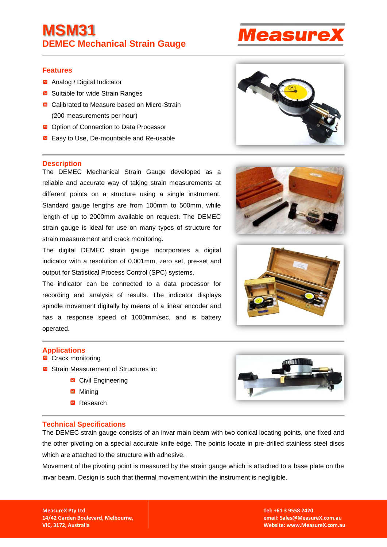# **MSM31 DEMEC Mechanical Strain Gauge**

### **Features**

- Analog / Digital Indicator
- Suitable for wide Strain Ranges
- Calibrated to Measure based on Micro-Strain (200 measurements per hour)
- **■** Option of Connection to Data Processor
- Easy to Use, De-mountable and Re-usable

#### **Description**

The DEMEC Mechanical Strain Gauge developed as a reliable and accurate way of taking strain measurements at different points on a structure using a single instrument. Standard gauge lengths are from 100mm to 500mm, while length of up to 2000mm available on request. The DEMEC strain gauge is ideal for use on many types of structure for strain measurement and crack monitoring.

The digital DEMEC strain gauge incorporates a digital indicator with a resolution of 0.001mm, zero set, pre-set and output for Statistical Process Control (SPC) systems.

The indicator can be connected to a data processor for recording and analysis of results. The indicator displays spindle movement digitally by means of a linear encoder and has a response speed of 1000mm/sec, and is battery operated.

### **Applications**

- Crack monitoring
- Strain Measurement of Structures in:
	- Civil Engineering
	- Mining
	- Research



### **Technical Specifications**

The DEMEC strain gauge consists of an invar main beam with two conical locating points, one fixed and the other pivoting on a special accurate knife edge. The points locate in pre-drilled stainless steel discs which are attached to the structure with adhesive.

Movement of the pivoting point is measured by the strain gauge which is attached to a base plate on the invar beam. Design is such that thermal movement within the instrument is negligible.

**MeasureX Pty Ltd 14/42 Garden Boulevard, Melbourne, VIC, 3172, Australia**

**Tel: +61 3 9558 2420 email: Sales@MeasureX.com.au Website: [www.MeasureX.com.au](http://www.measurex.com.au/)**